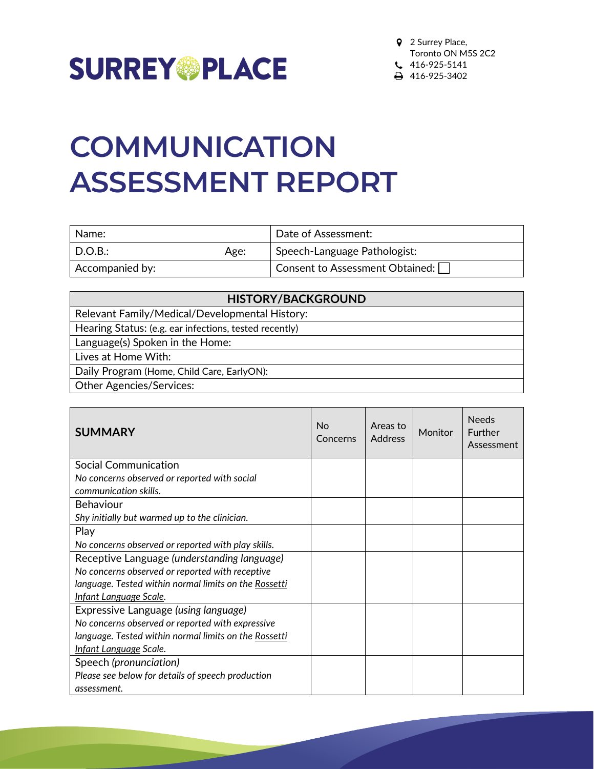

# **COMMUNICATION ASSESSMENT REPORT**

| Name:           |      | Date of Assessment:             |
|-----------------|------|---------------------------------|
| D.O.B.:         | Age: | Speech-Language Pathologist:    |
| Accompanied by: |      | Consent to Assessment Obtained: |

| <b>HISTORY/BACKGROUND</b>                              |
|--------------------------------------------------------|
| Relevant Family/Medical/Developmental History:         |
| Hearing Status: (e.g. ear infections, tested recently) |
| Language(s) Spoken in the Home:                        |
| Lives at Home With:                                    |
| Daily Program (Home, Child Care, EarlyON):             |
| <b>Other Agencies/Services:</b>                        |
|                                                        |

| <b>SUMMARY</b>                                                        | No<br>Concerns | Areas to<br><b>Address</b> | Monitor | <b>Needs</b><br>Further<br>Assessment |
|-----------------------------------------------------------------------|----------------|----------------------------|---------|---------------------------------------|
| <b>Social Communication</b>                                           |                |                            |         |                                       |
| No concerns observed or reported with social<br>communication skills. |                |                            |         |                                       |
| <b>Behaviour</b>                                                      |                |                            |         |                                       |
| Shy initially but warmed up to the clinician.                         |                |                            |         |                                       |
| Play                                                                  |                |                            |         |                                       |
| No concerns observed or reported with play skills.                    |                |                            |         |                                       |
| Receptive Language (understanding language)                           |                |                            |         |                                       |
| No concerns observed or reported with receptive                       |                |                            |         |                                       |
| language. Tested within normal limits on the Rossetti                 |                |                            |         |                                       |
| Infant Language Scale.                                                |                |                            |         |                                       |
| Expressive Language (using language)                                  |                |                            |         |                                       |
| No concerns observed or reported with expressive                      |                |                            |         |                                       |
| language. Tested within normal limits on the Rossetti                 |                |                            |         |                                       |
| Infant Language Scale.                                                |                |                            |         |                                       |
| Speech (pronunciation)                                                |                |                            |         |                                       |
| Please see below for details of speech production                     |                |                            |         |                                       |
| assessment.                                                           |                |                            |         |                                       |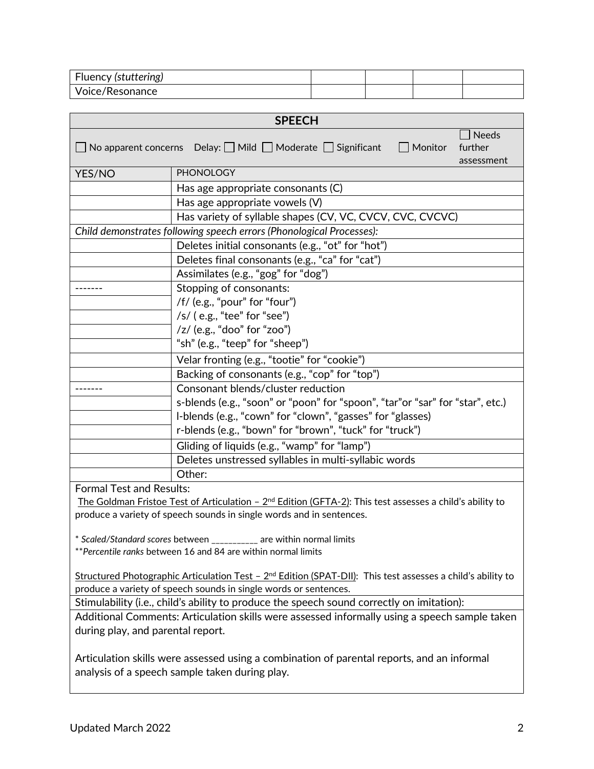| Fluency (stuttering) |  |  |
|----------------------|--|--|
| Voice/Resonance      |  |  |

|                                   | <b>SPEECH</b>                                                                                                                                |  |
|-----------------------------------|----------------------------------------------------------------------------------------------------------------------------------------------|--|
|                                   | <b>Needs</b><br>$\Box$ No apparent concerns Delay: $\Box$ Mild $\Box$ Moderate $\Box$ Significant<br>$\Box$ Monitor<br>further<br>assessment |  |
| YES/NO                            | <b>PHONOLOGY</b>                                                                                                                             |  |
|                                   | Has age appropriate consonants (C)                                                                                                           |  |
|                                   | Has age appropriate vowels (V)                                                                                                               |  |
|                                   | Has variety of syllable shapes (CV, VC, CVCV, CVC, CVCVC)                                                                                    |  |
|                                   | Child demonstrates following speech errors (Phonological Processes):                                                                         |  |
|                                   | Deletes initial consonants (e.g., "ot" for "hot")                                                                                            |  |
|                                   | Deletes final consonants (e.g., "ca" for "cat")                                                                                              |  |
|                                   | Assimilates (e.g., "gog" for "dog")                                                                                                          |  |
|                                   | Stopping of consonants:                                                                                                                      |  |
|                                   | /f/ (e.g., "pour" for "four")                                                                                                                |  |
|                                   | $/s/$ (e.g., "tee" for "see")                                                                                                                |  |
|                                   | /z/ (e.g., "doo" for "zoo")                                                                                                                  |  |
|                                   | "sh" (e.g., "teep" for "sheep")                                                                                                              |  |
|                                   | Velar fronting (e.g., "tootie" for "cookie")                                                                                                 |  |
|                                   | Backing of consonants (e.g., "cop" for "top")                                                                                                |  |
|                                   | Consonant blends/cluster reduction                                                                                                           |  |
|                                   | s-blends (e.g., "soon" or "poon" for "spoon", "tar"or "sar" for "star", etc.)                                                                |  |
|                                   | I-blends (e.g., "cown" for "clown", "gasses" for "glasses)                                                                                   |  |
|                                   | r-blends (e.g., "bown" for "brown", "tuck" for "truck")                                                                                      |  |
|                                   | Gliding of liquids (e.g., "wamp" for "lamp")                                                                                                 |  |
|                                   | Deletes unstressed syllables in multi-syllabic words                                                                                         |  |
|                                   | Other:                                                                                                                                       |  |
| <b>Formal Test and Results:</b>   |                                                                                                                                              |  |
|                                   | The Goldman Fristoe Test of Articulation - 2 <sup>nd</sup> Edition (GFTA-2): This test assesses a child's ability to                         |  |
|                                   | produce a variety of speech sounds in single words and in sentences.                                                                         |  |
|                                   |                                                                                                                                              |  |
| * Scaled/Standard scores between  | are within normal limits                                                                                                                     |  |
|                                   | ** Percentile ranks between 16 and 84 are within normal limits                                                                               |  |
|                                   | Structured Photographic Articulation Test - $2^{nd}$ Edition (SPAT-DII): This test assesses a child's ability to                             |  |
|                                   | produce a variety of speech sounds in single words or sentences.                                                                             |  |
|                                   | Stimulability (i.e., child's ability to produce the speech sound correctly on imitation):                                                    |  |
|                                   | Additional Comments: Articulation skills were assessed informally using a speech sample taken                                                |  |
| during play, and parental report. |                                                                                                                                              |  |
|                                   |                                                                                                                                              |  |
|                                   | Articulation skills were assessed using a combination of parental reports, and an informal                                                   |  |
|                                   | analysis of a speech sample taken during play.                                                                                               |  |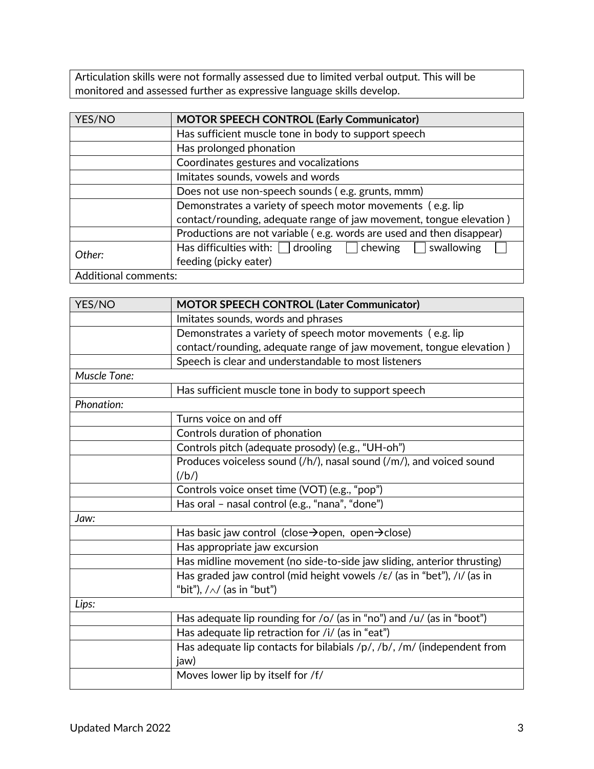Articulation skills were not formally assessed due to limited verbal output. This will be monitored and assessed further as expressive language skills develop.

| YES/NO                      | <b>MOTOR SPEECH CONTROL (Early Communicator)</b>                      |
|-----------------------------|-----------------------------------------------------------------------|
|                             | Has sufficient muscle tone in body to support speech                  |
|                             | Has prolonged phonation                                               |
|                             | Coordinates gestures and vocalizations                                |
|                             | Imitates sounds, vowels and words                                     |
|                             | Does not use non-speech sounds (e.g. grunts, mmm)                     |
|                             | Demonstrates a variety of speech motor movements (e.g. lip            |
|                             | contact/rounding, adequate range of jaw movement, tongue elevation)   |
|                             | Productions are not variable (e.g. words are used and then disappear) |
| Other:                      | Has difficulties with: $\Box$ drooling $\Box$ chewing<br>swallowing   |
|                             | feeding (picky eater)                                                 |
| <b>Additional comments:</b> |                                                                       |

| YES/NO              | <b>MOTOR SPEECH CONTROL (Later Communicator)</b>                                                  |
|---------------------|---------------------------------------------------------------------------------------------------|
|                     | Imitates sounds, words and phrases                                                                |
|                     | Demonstrates a variety of speech motor movements (e.g. lip                                        |
|                     | contact/rounding, adequate range of jaw movement, tongue elevation)                               |
|                     | Speech is clear and understandable to most listeners                                              |
| <b>Muscle Tone:</b> |                                                                                                   |
|                     | Has sufficient muscle tone in body to support speech                                              |
| Phonation:          |                                                                                                   |
|                     | Turns voice on and off                                                                            |
|                     | Controls duration of phonation                                                                    |
|                     | Controls pitch (adequate prosody) (e.g., "UH-oh")                                                 |
|                     | Produces voiceless sound (/h/), nasal sound (/m/), and voiced sound                               |
|                     | $(\frac{h}{h})$                                                                                   |
|                     | Controls voice onset time (VOT) (e.g., "pop")                                                     |
|                     | Has oral - nasal control (e.g., "nana", "done")                                                   |
| Jaw:                |                                                                                                   |
|                     | Has basic jaw control (close $\rightarrow$ open, open $\rightarrow$ close)                        |
|                     | Has appropriate jaw excursion                                                                     |
|                     | Has midline movement (no side-to-side jaw sliding, anterior thrusting)                            |
|                     | Has graded jaw control (mid height vowels / $\varepsilon$ / (as in "bet"), / $\frac{1}{1}$ (as in |
|                     | "bit"), $/\wedge$ (as in "but")                                                                   |
| Lips:               |                                                                                                   |
|                     | Has adequate lip rounding for /o/ (as in "no") and /u/ (as in "boot")                             |
|                     | Has adequate lip retraction for /i/ (as in "eat")                                                 |
|                     | Has adequate lip contacts for bilabials /p/, /b/, /m/ (independent from                           |
|                     | jaw)                                                                                              |
|                     | Moves lower lip by itself for /f/                                                                 |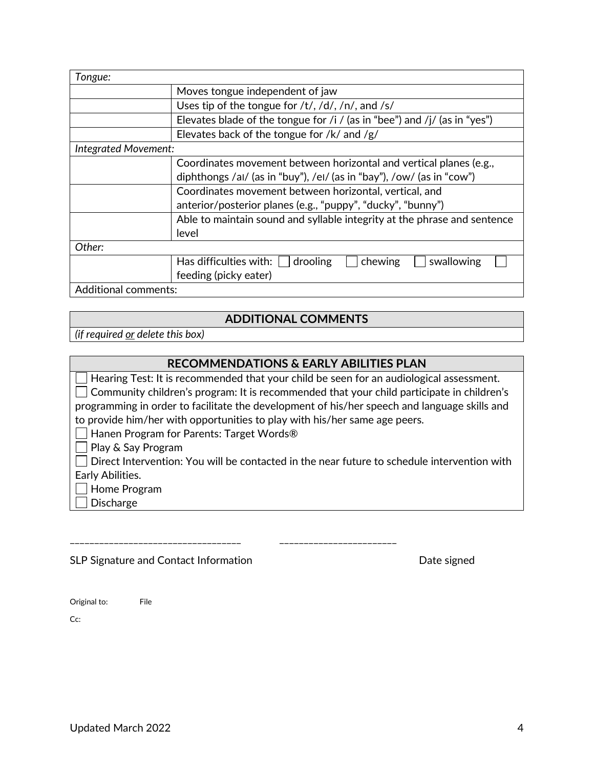| Tongue:                     |                                                                           |  |
|-----------------------------|---------------------------------------------------------------------------|--|
|                             | Moves tongue independent of jaw                                           |  |
|                             | Uses tip of the tongue for $/t/$ , $/d/$ , $/n/$ , and $/s/$              |  |
|                             | Elevates blade of the tongue for /i / (as in "bee") and /j/ (as in "yes") |  |
|                             | Elevates back of the tongue for /k/ and /g/                               |  |
| <b>Integrated Movement:</b> |                                                                           |  |
|                             | Coordinates movement between horizontal and vertical planes (e.g.,        |  |
|                             | diphthongs /al/ (as in "buy"), /el/ (as in "bay"), /ow/ (as in "cow")     |  |
|                             | Coordinates movement between horizontal, vertical, and                    |  |
|                             | anterior/posterior planes (e.g., "puppy", "ducky", "bunny")               |  |
|                             | Able to maintain sound and syllable integrity at the phrase and sentence  |  |
|                             | level                                                                     |  |
| Other:                      |                                                                           |  |
|                             | chewing<br>Has difficulties with: $ $<br>swallowing<br>drooling           |  |
|                             | feeding (picky eater)                                                     |  |
| <b>Additional comments:</b> |                                                                           |  |

### **ADDITIONAL COMMENTS**

*(if required or delete this box)*

### **RECOMMENDATIONS & EARLY ABILITIES PLAN**

| $\Box$ Hearing Test: It is recommended that your child be seen for an audiological assessment.     |
|----------------------------------------------------------------------------------------------------|
| $\Box$ Community children's program: It is recommended that your child participate in children's   |
| programming in order to facilitate the development of his/her speech and language skills and       |
| to provide him/her with opportunities to play with his/her same age peers.                         |
| Hanen Program for Parents: Target Words®                                                           |
| $\Box$ Play & Say Program                                                                          |
| $\Box$ Direct Intervention: You will be contacted in the near future to schedule intervention with |
| Early Abilities.                                                                                   |
| $\Box$ Home Program                                                                                |
| <b>Discharge</b>                                                                                   |
|                                                                                                    |

SLP Signature and Contact Information and Date signed

\_\_\_\_\_\_\_\_\_\_\_\_\_\_\_\_\_\_\_\_\_\_\_\_\_\_\_\_\_\_\_\_\_\_\_ \_\_\_\_\_\_\_\_\_\_\_\_\_\_\_\_\_\_\_\_\_\_\_\_

Original to: File

Cc: